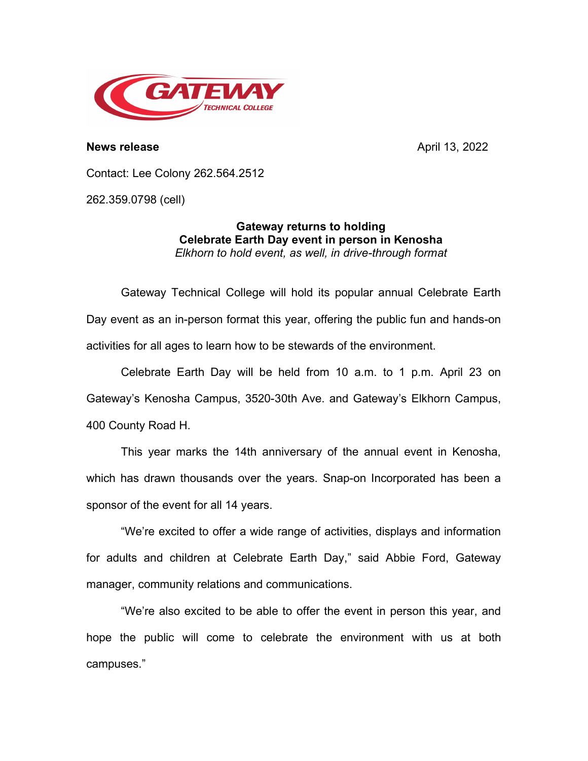

**News release** April 13, 2022

Contact: Lee Colony 262.564.2512

262.359.0798 (cell)

**Gateway returns to holding Celebrate Earth Day event in person in Kenosha** *Elkhorn to hold event, as well, in drive-through format*

Gateway Technical College will hold its popular annual Celebrate Earth Day event as an in-person format this year, offering the public fun and hands-on activities for all ages to learn how to be stewards of the environment.

Celebrate Earth Day will be held from 10 a.m. to 1 p.m. April 23 on Gateway's Kenosha Campus, 3520-30th Ave. and Gateway's Elkhorn Campus, 400 County Road H.

This year marks the 14th anniversary of the annual event in Kenosha, which has drawn thousands over the years. Snap-on Incorporated has been a sponsor of the event for all 14 years.

"We're excited to offer a wide range of activities, displays and information for adults and children at Celebrate Earth Day," said Abbie Ford, Gateway manager, community relations and communications.

"We're also excited to be able to offer the event in person this year, and hope the public will come to celebrate the environment with us at both campuses."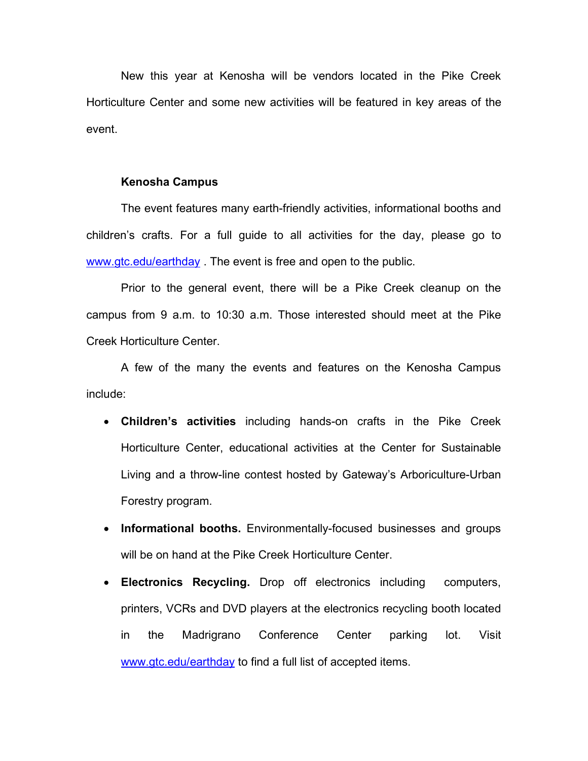New this year at Kenosha will be vendors located in the Pike Creek Horticulture Center and some new activities will be featured in key areas of the event.

## **Kenosha Campus**

The event features many earth-friendly activities, informational booths and children's crafts. For a full guide to all activities for the day, please go to [www.gtc.edu/earthday](http://www.gtc.edu/earthday) . The event is free and open to the public.

Prior to the general event, there will be a Pike Creek cleanup on the campus from 9 a.m. to 10:30 a.m. Those interested should meet at the Pike Creek Horticulture Center.

A few of the many the events and features on the Kenosha Campus include:

- **Children's activities** including hands-on crafts in the Pike Creek Horticulture Center, educational activities at the Center for Sustainable Living and a throw-line contest hosted by Gateway's Arboriculture-Urban Forestry program.
- **Informational booths.** Environmentally-focused businesses and groups will be on hand at the Pike Creek Horticulture Center.
- **Electronics Recycling.** Drop off electronics including computers, printers, VCRs and DVD players at the electronics recycling booth located in the Madrigrano Conference Center parking lot. Visit [www.gtc.edu/earthday](http://www.gtc.edu/earthday) to find a full list of accepted items.